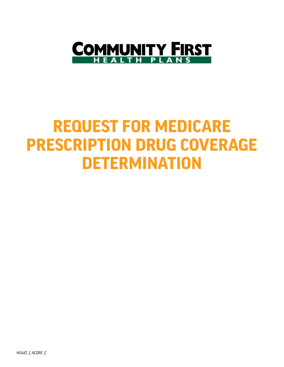

# **REQUEST FOR MEDICARE PRESCRIPTION DRUG COVERAGE DETERMINATION**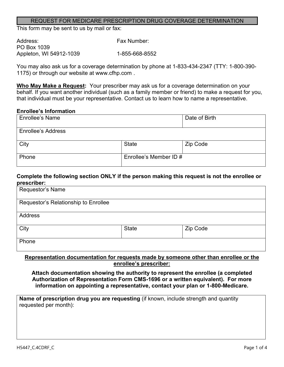#### REQUEST FOR MEDICARE PRESCRIPTION DRUG COVERAGE DETERMINATION

This form may be sent to us by mail or fax:

| Address:                | Fax Number:    |
|-------------------------|----------------|
| PO Box 1039             |                |
| Appleton, WI 54912-1039 | 1-855-668-8552 |

You may also ask us for a coverage determination by phone at 1-833-434-2347 (TTY: 1-800-390- 1175) or through our website at www.cfhp.com .

**Who May Make a Request:** Your prescriber may ask us for a coverage determination on your behalf. If you want another individual (such as a family member or friend) to make a request for you, that individual must be your representative. Contact us to learn how to name a representative.

#### **Enrollee's Information**

| <b>Enrollee's Name</b>    |                        | Date of Birth |
|---------------------------|------------------------|---------------|
| <b>Enrollee's Address</b> |                        |               |
| City                      | <b>State</b>           | Zip Code      |
| Phone                     | Enrollee's Member ID # |               |

#### **Complete the following section ONLY if the person making this request is not the enrollee or prescriber:**

| Requestor's Name                     |              |          |
|--------------------------------------|--------------|----------|
| Requestor's Relationship to Enrollee |              |          |
| Address                              |              |          |
| City                                 | <b>State</b> | Zip Code |
| Phone                                |              |          |

#### **Representation documentation for requests made by someone other than enrollee or the enrollee's prescriber:**

**Attach documentation showing the authority to represent the enrollee (a completed Authorization of Representation Form CMS-1696 or a written equivalent). For more information on appointing a representative, contact your plan or 1-800-Medicare.**

**Name of prescription drug you are requesting** (if known, include strength and quantity requested per month):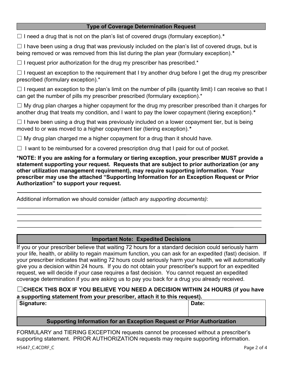#### **Type of Coverage Determination Request**

☐ I need a drug that is not on the plan's list of covered drugs (formulary exception).*\**

 $\Box$  I have been using a drug that was previously included on the plan's list of covered drugs, but is being removed or was removed from this list during the plan year (formulary exception).*\**

 $\Box$  I request prior authorization for the drug my prescriber has prescribed.\*

 $\Box$  I request an exception to the requirement that I try another drug before I get the drug my prescriber prescribed (formulary exception).\*

 $\Box$  I request an exception to the plan's limit on the number of pills (quantity limit) I can receive so that I can get the number of pills my prescriber prescribed (formulary exception).\*

 $\Box$  My drug plan charges a higher copayment for the drug my prescriber prescribed than it charges for another drug that treats my condition, and I want to pay the lower copayment (tiering exception).*\**

 $\Box$  I have been using a drug that was previously included on a lower copayment tier, but is being moved to or was moved to a higher copayment tier (tiering exception).*\**

 $\Box$  My drug plan charged me a higher copayment for a drug than it should have.

 $\Box$  I want to be reimbursed for a covered prescription drug that I paid for out of pocket.

**\*NOTE: If you are asking for a formulary or tiering exception, your prescriber MUST provide a statement supporting your request. Requests that are subject to prior authorization (or any other utilization management requirement), may require supporting information. Your prescriber may use the attached "Supporting Information for an Exception Request or Prior Authorization" to support your request.**

Additional information we should consider *(attach any supporting documents)*:

### **Important Note: Expedited Decisions**

If you or your prescriber believe that waiting 72 hours for a standard decision could seriously harm your life, health, or ability to regain maximum function, you can ask for an expedited (fast) decision. If your prescriber indicates that waiting 72 hours could seriously harm your health, we will automatically give you a decision within 24 hours. If you do not obtain your prescriber's support for an expedited request, we will decide if your case requires a fast decision. You cannot request an expedited coverage determination if you are asking us to pay you back for a drug you already received.

# ☐**CHECK THIS BOX IF YOU BELIEVE YOU NEED A DECISION WITHIN 24 HOURS (if you have a supporting statement from your prescriber, attach it to this request).**

| <sup>∣</sup> Signature: |                                                                                                                                                                                                                                   | Date: |
|-------------------------|-----------------------------------------------------------------------------------------------------------------------------------------------------------------------------------------------------------------------------------|-------|
|                         |                                                                                                                                                                                                                                   |       |
|                         | $\bullet$ and the contract of the contract of the contract of the contract of the contract of the contract of the contract of the contract of the contract of the contract of the contract of the contract of the contract of the |       |

# **Supporting Information for an Exception Request or Prior Authorization**

FORMULARY and TIERING EXCEPTION requests cannot be processed without a prescriber's supporting statement. PRIOR AUTHORIZATION requests may require supporting information.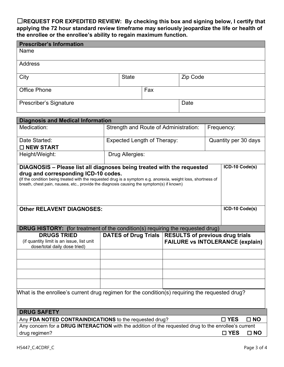# ☐**REQUEST FOR EXPEDITED REVIEW: By checking this box and signing below, I certify that applying the 72 hour standard review timeframe may seriously jeopardize the life or health of the enrollee or the enrollee's ability to regain maximum function.**

| <b>Prescriber's Information</b>                                                                                                                                                                                                                                                                         |  |                 |                                       |  |                                                                                                   |                      |              |
|---------------------------------------------------------------------------------------------------------------------------------------------------------------------------------------------------------------------------------------------------------------------------------------------------------|--|-----------------|---------------------------------------|--|---------------------------------------------------------------------------------------------------|----------------------|--------------|
| Name                                                                                                                                                                                                                                                                                                    |  |                 |                                       |  |                                                                                                   |                      |              |
| <b>Address</b>                                                                                                                                                                                                                                                                                          |  |                 |                                       |  |                                                                                                   |                      |              |
| City                                                                                                                                                                                                                                                                                                    |  | <b>State</b>    |                                       |  | Zip Code                                                                                          |                      |              |
| <b>Office Phone</b>                                                                                                                                                                                                                                                                                     |  |                 | Fax                                   |  |                                                                                                   |                      |              |
| Prescriber's Signature                                                                                                                                                                                                                                                                                  |  |                 |                                       |  | Date                                                                                              |                      |              |
| <b>Diagnosis and Medical Information</b>                                                                                                                                                                                                                                                                |  |                 |                                       |  |                                                                                                   |                      |              |
| Medication:                                                                                                                                                                                                                                                                                             |  |                 | Strength and Route of Administration: |  |                                                                                                   | Frequency:           |              |
| Date Started:<br>□ NEW START                                                                                                                                                                                                                                                                            |  |                 | <b>Expected Length of Therapy:</b>    |  |                                                                                                   | Quantity per 30 days |              |
| Height/Weight:                                                                                                                                                                                                                                                                                          |  | Drug Allergies: |                                       |  |                                                                                                   |                      |              |
| drug and corresponding ICD-10 codes.<br>(If the condition being treated with the requested drug is a symptom e.g. anorexia, weight loss, shortness of<br>breath, chest pain, nausea, etc., provide the diagnosis causing the symptom(s) if known)<br>ICD-10 Code(s)<br><b>Other RELAVENT DIAGNOSES:</b> |  |                 |                                       |  |                                                                                                   |                      |              |
| <b>DRUG HISTORY:</b> (for treatment of the condition(s) requiring the requested drug)                                                                                                                                                                                                                   |  |                 |                                       |  |                                                                                                   |                      |              |
| <b>DRUGS TRIED</b><br>(if quantity limit is an issue, list unit<br>dose/total daily dose tried)                                                                                                                                                                                                         |  |                 |                                       |  | DATES of Drug Trials   RESULTS of previous drug trials<br><b>FAILURE vs INTOLERANCE (explain)</b> |                      |              |
|                                                                                                                                                                                                                                                                                                         |  |                 |                                       |  |                                                                                                   |                      |              |
| What is the enrollee's current drug regimen for the condition(s) requiring the requested drug?                                                                                                                                                                                                          |  |                 |                                       |  |                                                                                                   |                      |              |
|                                                                                                                                                                                                                                                                                                         |  |                 |                                       |  |                                                                                                   |                      |              |
| <b>DRUG SAFETY</b>                                                                                                                                                                                                                                                                                      |  |                 |                                       |  |                                                                                                   |                      |              |
| $\square$ NO<br>□ YES<br>Any FDA NOTED CONTRAINDICATIONS to the requested drug?<br>Any concern for a DRUG INTERACTION with the addition of the requested drug to the enrollee's current                                                                                                                 |  |                 |                                       |  |                                                                                                   |                      |              |
| drug regimen?                                                                                                                                                                                                                                                                                           |  |                 |                                       |  |                                                                                                   | $\square$ YES        | $\square$ NO |
|                                                                                                                                                                                                                                                                                                         |  |                 |                                       |  |                                                                                                   |                      |              |